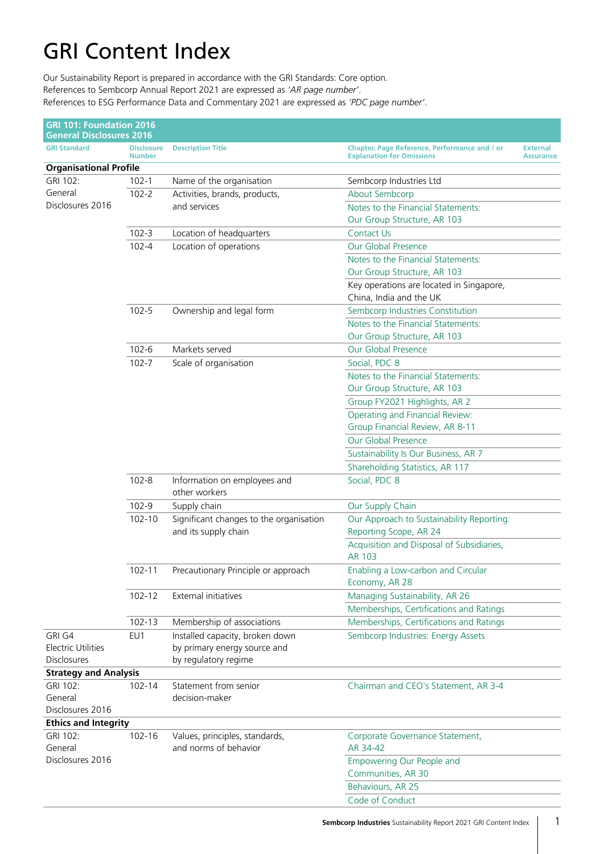## GRI Content Index

Our Sustainability Report is prepared in accordance with the GRI Standards: Core option. References to Sembcorp Annual Report 2021 are expressed as *'AR page number'*. References to ESG Performance Data and Commentary 2021 are expressed as *'PDC page number'*.

| <b>GRI 101: Foundation 2016</b><br><b>General Disclosures 2016</b> |                                    |                                                         |                                                                                   |                                     |
|--------------------------------------------------------------------|------------------------------------|---------------------------------------------------------|-----------------------------------------------------------------------------------|-------------------------------------|
| <b>GRI Standard</b>                                                | <b>Disclosure</b><br><b>Number</b> | <b>Description Title</b>                                | Chapter, Page Reference, Performance and / or<br><b>Explanation for Omissions</b> | <b>External</b><br><b>Assurance</b> |
| <b>Organisational Profile</b>                                      |                                    |                                                         |                                                                                   |                                     |
| GRI 102:                                                           | $102 - 1$                          | Name of the organisation                                | Sembcorp Industries Ltd                                                           |                                     |
| General                                                            | $102 - 2$                          | Activities, brands, products,                           | About Sembcorp                                                                    |                                     |
| Disclosures 2016                                                   |                                    | and services                                            | Notes to the Financial Statements:                                                |                                     |
|                                                                    |                                    |                                                         | Our Group Structure, AR 103                                                       |                                     |
|                                                                    | $102 - 3$                          | Location of headquarters                                | <b>Contact Us</b>                                                                 |                                     |
|                                                                    | $102 - 4$                          | Location of operations                                  | Our Global Presence                                                               |                                     |
|                                                                    |                                    |                                                         | Notes to the Financial Statements:                                                |                                     |
|                                                                    |                                    |                                                         | Our Group Structure, AR 103                                                       |                                     |
|                                                                    |                                    |                                                         | Key operations are located in Singapore,                                          |                                     |
|                                                                    |                                    |                                                         | China, India and the UK                                                           |                                     |
|                                                                    | $102 - 5$                          | Ownership and legal form                                | Sembcorp Industries Constitution                                                  |                                     |
|                                                                    |                                    |                                                         | Notes to the Financial Statements:                                                |                                     |
|                                                                    |                                    |                                                         | Our Group Structure, AR 103                                                       |                                     |
|                                                                    | $102 - 6$                          | Markets served                                          | Our Global Presence                                                               |                                     |
|                                                                    | $102 - 7$                          | Scale of organisation                                   | Social, PDC 8                                                                     |                                     |
|                                                                    |                                    |                                                         | Notes to the Financial Statements:                                                |                                     |
|                                                                    |                                    |                                                         | Our Group Structure, AR 103                                                       |                                     |
|                                                                    |                                    |                                                         | Group FY2021 Highlights, AR 2                                                     |                                     |
|                                                                    |                                    |                                                         | Operating and Financial Review:                                                   |                                     |
|                                                                    |                                    |                                                         | Group Financial Review, AR 8-11                                                   |                                     |
|                                                                    |                                    |                                                         | Our Global Presence                                                               |                                     |
|                                                                    |                                    |                                                         | Sustainability Is Our Business, AR 7                                              |                                     |
|                                                                    |                                    |                                                         | Shareholding Statistics, AR 117                                                   |                                     |
|                                                                    | $102 - 8$                          | Information on employees and<br>other workers           | Social, PDC 8                                                                     |                                     |
|                                                                    | 102-9                              | Supply chain                                            | Our Supply Chain                                                                  |                                     |
|                                                                    | 102-10                             | Significant changes to the organisation                 | Our Approach to Sustainability Reporting:                                         |                                     |
|                                                                    |                                    | and its supply chain                                    | Reporting Scope, AR 24                                                            |                                     |
|                                                                    |                                    |                                                         | Acquisition and Disposal of Subsidiaries,                                         |                                     |
|                                                                    |                                    |                                                         | AR 103                                                                            |                                     |
|                                                                    | $102 - 11$                         | Precautionary Principle or approach                     | Enabling a Low-carbon and Circular<br>Economy, AR 28                              |                                     |
|                                                                    | $102 - 12$                         | External initiatives                                    | Managing Sustainability, AR 26                                                    |                                     |
|                                                                    |                                    |                                                         | Memberships, Certifications and Ratings                                           |                                     |
|                                                                    | $102 - 13$                         | Membership of associations                              | Memberships, Certifications and Ratings                                           |                                     |
| GRI G4                                                             | EU1                                | Installed capacity, broken down                         | Sembcorp Industries: Energy Assets                                                |                                     |
| <b>Electric Utilities</b>                                          |                                    | by primary energy source and                            |                                                                                   |                                     |
| <b>Disclosures</b>                                                 |                                    | by regulatory regime                                    |                                                                                   |                                     |
| <b>Strategy and Analysis</b>                                       |                                    |                                                         |                                                                                   |                                     |
| GRI 102:                                                           | 102-14                             | Statement from senior                                   | Chairman and CEO's Statement, AR 3-4                                              |                                     |
| General                                                            |                                    | decision-maker                                          |                                                                                   |                                     |
| Disclosures 2016                                                   |                                    |                                                         |                                                                                   |                                     |
| <b>Ethics and Integrity</b>                                        |                                    |                                                         |                                                                                   |                                     |
| GRI 102:<br>General                                                | 102-16                             | Values, principles, standards,<br>and norms of behavior | Corporate Governance Statement,<br>AR 34-42                                       |                                     |
| Disclosures 2016                                                   |                                    |                                                         | Empowering Our People and<br>Communities, AR 30                                   |                                     |
|                                                                    |                                    |                                                         | Behaviours, AR 25                                                                 |                                     |
|                                                                    |                                    |                                                         | Code of Conduct                                                                   |                                     |
|                                                                    |                                    |                                                         |                                                                                   |                                     |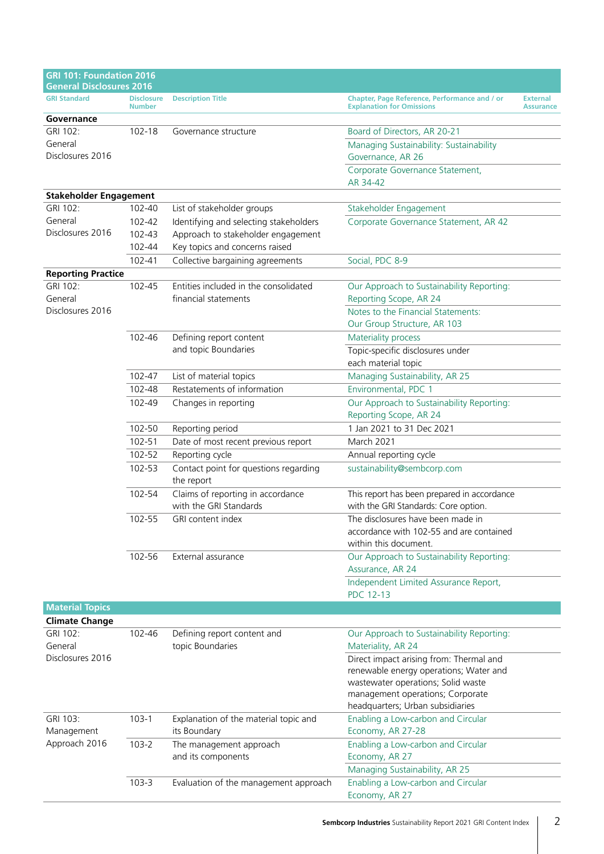| <b>GRI 101: Foundation 2016</b><br><b>General Disclosures 2016</b> |                                    |                                                               |                                                                                                                                                                                                 |                                     |
|--------------------------------------------------------------------|------------------------------------|---------------------------------------------------------------|-------------------------------------------------------------------------------------------------------------------------------------------------------------------------------------------------|-------------------------------------|
| <b>GRI Standard</b>                                                | <b>Disclosure</b><br><b>Number</b> | <b>Description Title</b>                                      | Chapter, Page Reference, Performance and / or<br><b>Explanation for Omissions</b>                                                                                                               | <b>External</b><br><b>Assurance</b> |
| Governance                                                         |                                    |                                                               |                                                                                                                                                                                                 |                                     |
| GRI 102:                                                           | 102-18                             | Governance structure                                          | Board of Directors, AR 20-21                                                                                                                                                                    |                                     |
| General<br>Disclosures 2016                                        |                                    |                                                               | Managing Sustainability: Sustainability<br>Governance, AR 26                                                                                                                                    |                                     |
|                                                                    |                                    |                                                               | Corporate Governance Statement,<br>AR 34-42                                                                                                                                                     |                                     |
| <b>Stakeholder Engagement</b>                                      |                                    |                                                               |                                                                                                                                                                                                 |                                     |
| GRI 102:                                                           | 102-40                             | List of stakeholder groups                                    | Stakeholder Engagement                                                                                                                                                                          |                                     |
| General                                                            | 102-42                             | Identifying and selecting stakeholders                        | Corporate Governance Statement, AR 42                                                                                                                                                           |                                     |
| Disclosures 2016                                                   | 102-43                             | Approach to stakeholder engagement                            |                                                                                                                                                                                                 |                                     |
|                                                                    | 102-44                             | Key topics and concerns raised                                |                                                                                                                                                                                                 |                                     |
|                                                                    | 102-41                             | Collective bargaining agreements                              | Social, PDC 8-9                                                                                                                                                                                 |                                     |
| <b>Reporting Practice</b>                                          |                                    |                                                               |                                                                                                                                                                                                 |                                     |
| GRI 102:<br>General                                                | 102-45                             | Entities included in the consolidated<br>financial statements | Our Approach to Sustainability Reporting:<br>Reporting Scope, AR 24                                                                                                                             |                                     |
| Disclosures 2016                                                   |                                    |                                                               | Notes to the Financial Statements:<br>Our Group Structure, AR 103                                                                                                                               |                                     |
|                                                                    | 102-46                             | Defining report content                                       | Materiality process                                                                                                                                                                             |                                     |
|                                                                    |                                    | and topic Boundaries                                          | Topic-specific disclosures under<br>each material topic                                                                                                                                         |                                     |
|                                                                    | 102-47                             | List of material topics                                       | Managing Sustainability, AR 25                                                                                                                                                                  |                                     |
|                                                                    | 102-48                             | Restatements of information                                   | Environmental, PDC 1                                                                                                                                                                            |                                     |
|                                                                    | 102-49                             | Changes in reporting                                          | Our Approach to Sustainability Reporting:<br>Reporting Scope, AR 24                                                                                                                             |                                     |
|                                                                    | 102-50                             | Reporting period                                              | 1 Jan 2021 to 31 Dec 2021                                                                                                                                                                       |                                     |
|                                                                    | 102-51                             | Date of most recent previous report                           | March 2021                                                                                                                                                                                      |                                     |
|                                                                    | 102-52                             | Reporting cycle                                               | Annual reporting cycle                                                                                                                                                                          |                                     |
|                                                                    | 102-53                             | Contact point for questions regarding                         | sustainability@sembcorp.com                                                                                                                                                                     |                                     |
|                                                                    |                                    | the report                                                    |                                                                                                                                                                                                 |                                     |
|                                                                    | 102-54                             | Claims of reporting in accordance<br>with the GRI Standards   | This report has been prepared in accordance<br>with the GRI Standards: Core option.                                                                                                             |                                     |
|                                                                    | 102-55                             | GRI content index                                             | The disclosures have been made in<br>accordance with 102-55 and are contained<br>within this document.                                                                                          |                                     |
|                                                                    | 102-56                             | External assurance                                            | Our Approach to Sustainability Reporting:<br>Assurance, AR 24                                                                                                                                   |                                     |
|                                                                    |                                    |                                                               | Independent Limited Assurance Report,<br><b>PDC 12-13</b>                                                                                                                                       |                                     |
| <b>Material Topics</b>                                             |                                    |                                                               |                                                                                                                                                                                                 |                                     |
| <b>Climate Change</b>                                              |                                    |                                                               |                                                                                                                                                                                                 |                                     |
| GRI 102:<br>General                                                | 102-46                             | Defining report content and<br>topic Boundaries               | Our Approach to Sustainability Reporting:<br>Materiality, AR 24                                                                                                                                 |                                     |
| Disclosures 2016                                                   |                                    |                                                               | Direct impact arising from: Thermal and<br>renewable energy operations; Water and<br>wastewater operations; Solid waste<br>management operations; Corporate<br>headquarters; Urban subsidiaries |                                     |
| GRI 103:<br>Management                                             | $103-1$                            | Explanation of the material topic and<br>its Boundary         | Enabling a Low-carbon and Circular<br>Economy, AR 27-28                                                                                                                                         |                                     |
| Approach 2016                                                      | $103 - 2$                          | The management approach                                       | Enabling a Low-carbon and Circular                                                                                                                                                              |                                     |
|                                                                    |                                    | and its components                                            | Economy, AR 27                                                                                                                                                                                  |                                     |
|                                                                    |                                    |                                                               | Managing Sustainability, AR 25                                                                                                                                                                  |                                     |
|                                                                    | $103 - 3$                          | Evaluation of the management approach                         | Enabling a Low-carbon and Circular                                                                                                                                                              |                                     |
|                                                                    |                                    |                                                               | Economy, AR 27                                                                                                                                                                                  |                                     |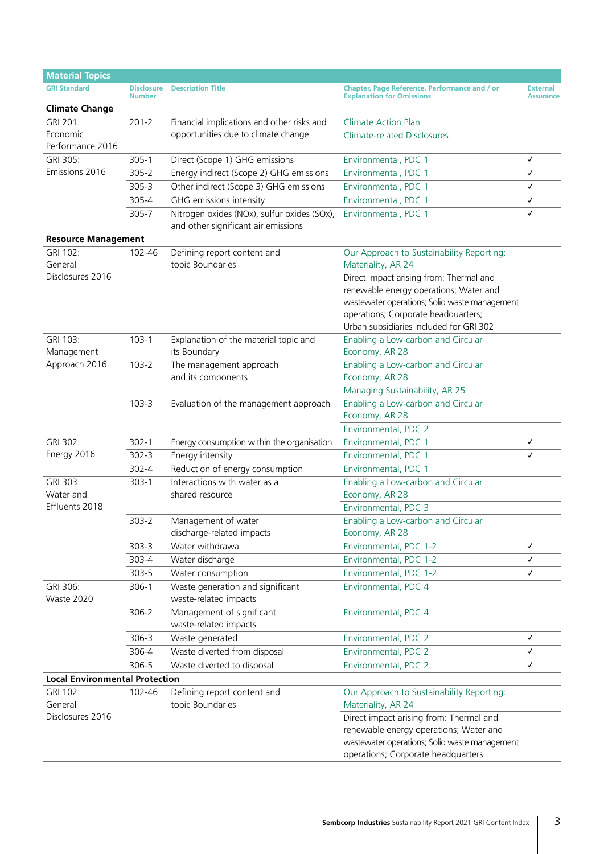| <b>Material Topics</b>                  |                                    |                                                                                    |                                                                                                                                                                                                                                                                                         |                                     |
|-----------------------------------------|------------------------------------|------------------------------------------------------------------------------------|-----------------------------------------------------------------------------------------------------------------------------------------------------------------------------------------------------------------------------------------------------------------------------------------|-------------------------------------|
| <b>GRI Standard</b>                     | <b>Disclosure</b><br><b>Number</b> | <b>Description Title</b>                                                           | Chapter, Page Reference, Performance and / or<br><b>Explanation for Omissions</b>                                                                                                                                                                                                       | <b>External</b><br><b>Assurance</b> |
| <b>Climate Change</b>                   |                                    |                                                                                    |                                                                                                                                                                                                                                                                                         |                                     |
| GRI 201:                                | $201 - 2$                          | Financial implications and other risks and                                         | <b>Climate Action Plan</b>                                                                                                                                                                                                                                                              |                                     |
| Economic<br>Performance 2016            |                                    | opportunities due to climate change                                                | <b>Climate-related Disclosures</b>                                                                                                                                                                                                                                                      |                                     |
| GRI 305:                                | $305 - 1$                          | Direct (Scope 1) GHG emissions                                                     | Environmental, PDC 1                                                                                                                                                                                                                                                                    | ✓                                   |
| Emissions 2016                          | $305 - 2$                          | Energy indirect (Scope 2) GHG emissions                                            | Environmental, PDC 1                                                                                                                                                                                                                                                                    | $\checkmark$                        |
|                                         | $305 - 3$                          | Other indirect (Scope 3) GHG emissions                                             | Environmental, PDC 1                                                                                                                                                                                                                                                                    | ✓                                   |
|                                         | 305-4                              | GHG emissions intensity                                                            | Environmental, PDC 1                                                                                                                                                                                                                                                                    | $\checkmark$                        |
|                                         | 305-7                              | Nitrogen oxides (NOx), sulfur oxides (SOx),<br>and other significant air emissions | Environmental, PDC 1                                                                                                                                                                                                                                                                    | $\checkmark$                        |
| <b>Resource Management</b>              |                                    |                                                                                    |                                                                                                                                                                                                                                                                                         |                                     |
| GRI 102:<br>General<br>Disclosures 2016 | 102-46                             | Defining report content and<br>topic Boundaries                                    | Our Approach to Sustainability Reporting:<br>Materiality, AR 24<br>Direct impact arising from: Thermal and<br>renewable energy operations; Water and<br>wastewater operations; Solid waste management<br>operations; Corporate headquarters;<br>Urban subsidiaries included for GRI 302 |                                     |
| GRI 103:<br>Management                  | $103-1$                            | Explanation of the material topic and<br>its Boundary                              | Enabling a Low-carbon and Circular<br>Economy, AR 28                                                                                                                                                                                                                                    |                                     |
| Approach 2016                           | $103 - 2$                          | The management approach<br>and its components                                      | Enabling a Low-carbon and Circular<br>Economy, AR 28<br>Managing Sustainability, AR 25                                                                                                                                                                                                  |                                     |
|                                         | $103 - 3$                          | Evaluation of the management approach                                              | Enabling a Low-carbon and Circular<br>Economy, AR 28<br>Environmental, PDC 2                                                                                                                                                                                                            |                                     |
| GRI 302:                                | $302 - 1$                          | Energy consumption within the organisation                                         | Environmental, PDC 1                                                                                                                                                                                                                                                                    | ✓                                   |
| Energy 2016                             | $302 - 3$                          | Energy intensity                                                                   | Environmental, PDC 1                                                                                                                                                                                                                                                                    | ✓                                   |
|                                         | $302 - 4$                          | Reduction of energy consumption                                                    | Environmental, PDC 1                                                                                                                                                                                                                                                                    |                                     |
| GRI 303:<br>Water and<br>Effluents 2018 | $303-1$                            | Interactions with water as a<br>shared resource                                    | Enabling a Low-carbon and Circular<br>Economy, AR 28<br>Environmental, PDC 3                                                                                                                                                                                                            |                                     |
|                                         | $303 - 2$                          | Management of water                                                                | Enabling a Low-carbon and Circular                                                                                                                                                                                                                                                      |                                     |
|                                         |                                    | discharge-related impacts                                                          | Economy, AR 28                                                                                                                                                                                                                                                                          |                                     |
|                                         | $303 - 3$                          | Water withdrawal                                                                   | Environmental, PDC 1-2                                                                                                                                                                                                                                                                  | ✓                                   |
|                                         | 303-4                              | Water discharge                                                                    | Environmental, PDC 1-2                                                                                                                                                                                                                                                                  | √                                   |
|                                         | 303-5                              | Water consumption                                                                  | Environmental, PDC 1-2                                                                                                                                                                                                                                                                  | ✓                                   |
| GRI 306:<br>Waste 2020                  | $306-1$                            | Waste generation and significant<br>waste-related impacts                          | Environmental, PDC 4                                                                                                                                                                                                                                                                    |                                     |
|                                         | 306-2                              | Management of significant<br>waste-related impacts                                 | Environmental, PDC 4                                                                                                                                                                                                                                                                    |                                     |
|                                         | 306-3                              | Waste generated                                                                    | Environmental, PDC 2                                                                                                                                                                                                                                                                    | ✓                                   |
|                                         | 306-4                              | Waste diverted from disposal                                                       | Environmental, PDC 2                                                                                                                                                                                                                                                                    | $\checkmark$                        |
|                                         | 306-5                              | Waste diverted to disposal                                                         | Environmental, PDC 2                                                                                                                                                                                                                                                                    | $\checkmark$                        |
| <b>Local Environmental Protection</b>   |                                    |                                                                                    |                                                                                                                                                                                                                                                                                         |                                     |
| GRI 102:<br>General                     | 102-46                             | Defining report content and<br>topic Boundaries                                    | Our Approach to Sustainability Reporting:<br>Materiality, AR 24                                                                                                                                                                                                                         |                                     |
| Disclosures 2016                        |                                    |                                                                                    | Direct impact arising from: Thermal and<br>renewable energy operations; Water and<br>wastewater operations; Solid waste management<br>operations; Corporate headquarters                                                                                                                |                                     |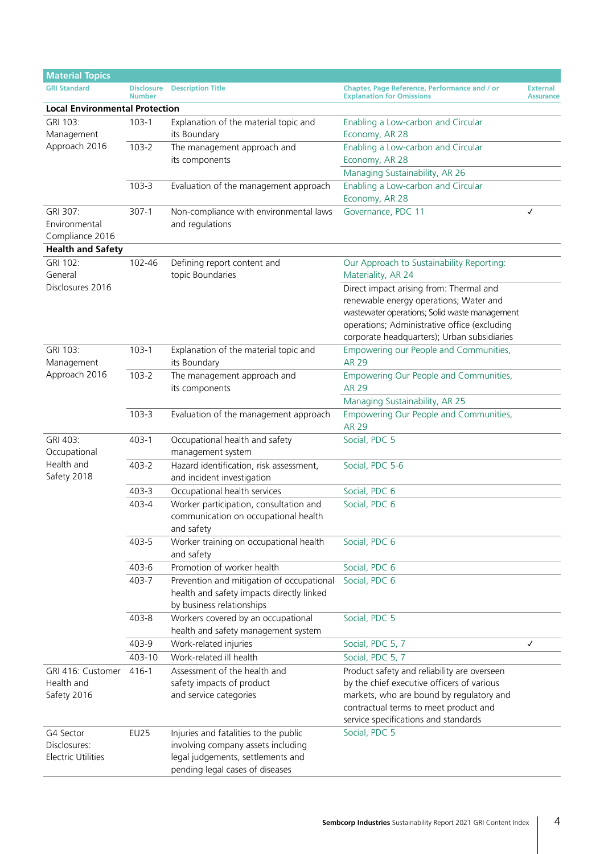| <b>Material Topics</b>                                 |                                       |                                                                                                                                                     |                                                                                                                                                                                                                                   |                                     |  |  |  |
|--------------------------------------------------------|---------------------------------------|-----------------------------------------------------------------------------------------------------------------------------------------------------|-----------------------------------------------------------------------------------------------------------------------------------------------------------------------------------------------------------------------------------|-------------------------------------|--|--|--|
| <b>GRI Standard</b>                                    | <b>Number</b>                         | <b>Disclosure</b> Description Title                                                                                                                 | Chapter, Page Reference, Performance and / or<br><b>Explanation for Omissions</b>                                                                                                                                                 | <b>External</b><br><b>Assurance</b> |  |  |  |
|                                                        | <b>Local Environmental Protection</b> |                                                                                                                                                     |                                                                                                                                                                                                                                   |                                     |  |  |  |
| GRI 103:<br>Management                                 | $103-1$                               | Explanation of the material topic and<br>its Boundary                                                                                               | Enabling a Low-carbon and Circular<br>Economy, AR 28                                                                                                                                                                              |                                     |  |  |  |
| Approach 2016                                          | $103 - 2$                             | The management approach and<br>its components                                                                                                       | Enabling a Low-carbon and Circular<br>Economy, AR 28                                                                                                                                                                              |                                     |  |  |  |
|                                                        |                                       |                                                                                                                                                     | Managing Sustainability, AR 26                                                                                                                                                                                                    |                                     |  |  |  |
|                                                        | $103 - 3$                             | Evaluation of the management approach                                                                                                               | Enabling a Low-carbon and Circular<br>Economy, AR 28                                                                                                                                                                              |                                     |  |  |  |
| GRI 307:<br>Environmental<br>Compliance 2016           | $307-1$                               | Non-compliance with environmental laws<br>and regulations                                                                                           | Governance, PDC 11                                                                                                                                                                                                                | ✓                                   |  |  |  |
| <b>Health and Safety</b>                               |                                       |                                                                                                                                                     |                                                                                                                                                                                                                                   |                                     |  |  |  |
| GRI 102:<br>General                                    | 102-46                                | Defining report content and<br>topic Boundaries                                                                                                     | Our Approach to Sustainability Reporting:<br>Materiality, AR 24                                                                                                                                                                   |                                     |  |  |  |
| Disclosures 2016                                       |                                       |                                                                                                                                                     | Direct impact arising from: Thermal and<br>renewable energy operations; Water and<br>wastewater operations; Solid waste management<br>operations; Administrative office (excluding<br>corporate headquarters); Urban subsidiaries |                                     |  |  |  |
| GRI 103:<br>Management                                 | $103-1$                               | Explanation of the material topic and<br>its Boundary                                                                                               | Empowering our People and Communities,<br><b>AR 29</b>                                                                                                                                                                            |                                     |  |  |  |
| Approach 2016                                          | $103 - 2$                             | The management approach and<br>its components                                                                                                       | Empowering Our People and Communities,<br><b>AR 29</b>                                                                                                                                                                            |                                     |  |  |  |
|                                                        |                                       |                                                                                                                                                     | Managing Sustainability, AR 25                                                                                                                                                                                                    |                                     |  |  |  |
|                                                        | $103 - 3$                             | Evaluation of the management approach                                                                                                               | Empowering Our People and Communities,<br><b>AR 29</b>                                                                                                                                                                            |                                     |  |  |  |
| GRI 403:<br>Occupational                               | $403 - 1$                             | Occupational health and safety<br>management system                                                                                                 | Social, PDC 5                                                                                                                                                                                                                     |                                     |  |  |  |
| Health and<br>Safety 2018                              | 403-2                                 | Hazard identification, risk assessment,<br>and incident investigation                                                                               | Social, PDC 5-6                                                                                                                                                                                                                   |                                     |  |  |  |
|                                                        | $403 - 3$                             | Occupational health services                                                                                                                        | Social, PDC 6                                                                                                                                                                                                                     |                                     |  |  |  |
|                                                        | 403-4                                 | Worker participation, consultation and<br>communication on occupational health<br>and safety                                                        | Social, PDC 6                                                                                                                                                                                                                     |                                     |  |  |  |
|                                                        | 403-5                                 | Worker training on occupational health<br>and safety                                                                                                | Social, PDC 6                                                                                                                                                                                                                     |                                     |  |  |  |
|                                                        | 403-6                                 | Promotion of worker health                                                                                                                          | Social, PDC 6                                                                                                                                                                                                                     |                                     |  |  |  |
|                                                        | 403-7                                 | Prevention and mitigation of occupational<br>health and safety impacts directly linked<br>by business relationships                                 | Social, PDC 6                                                                                                                                                                                                                     |                                     |  |  |  |
|                                                        | 403-8                                 | Workers covered by an occupational<br>health and safety management system                                                                           | Social, PDC 5                                                                                                                                                                                                                     |                                     |  |  |  |
|                                                        | 403-9                                 | Work-related injuries                                                                                                                               | Social, PDC 5, 7                                                                                                                                                                                                                  | ✓                                   |  |  |  |
|                                                        | 403-10                                | Work-related ill health                                                                                                                             | Social, PDC 5, 7                                                                                                                                                                                                                  |                                     |  |  |  |
| GRI 416: Customer<br>Health and<br>Safety 2016         | $416 - 1$                             | Assessment of the health and<br>safety impacts of product<br>and service categories                                                                 | Product safety and reliability are overseen<br>by the chief executive officers of various<br>markets, who are bound by regulatory and<br>contractual terms to meet product and<br>service specifications and standards            |                                     |  |  |  |
| G4 Sector<br>Disclosures:<br><b>Electric Utilities</b> | <b>EU25</b>                           | Injuries and fatalities to the public<br>involving company assets including<br>legal judgements, settlements and<br>pending legal cases of diseases | Social, PDC 5                                                                                                                                                                                                                     |                                     |  |  |  |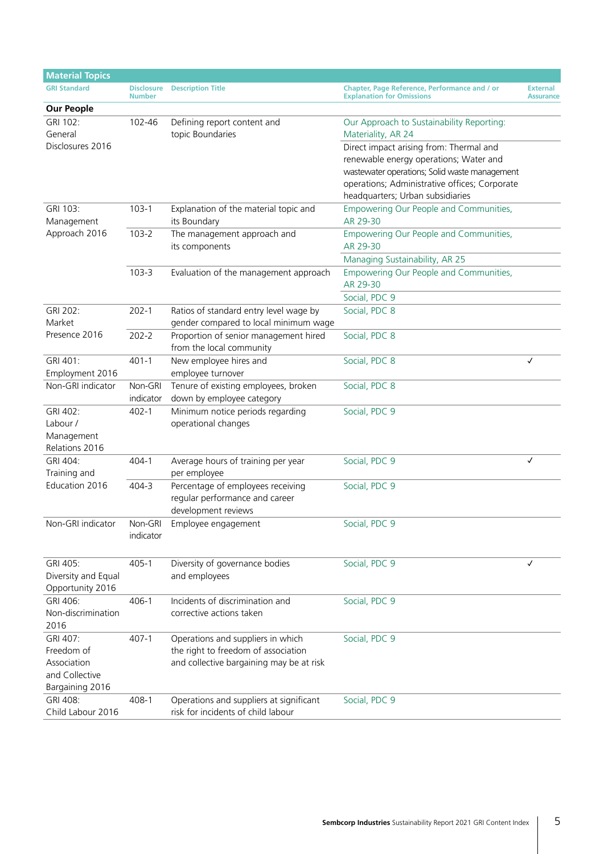| <b>Material Topics</b> |                                    |                                          |                                                                                   |                                     |
|------------------------|------------------------------------|------------------------------------------|-----------------------------------------------------------------------------------|-------------------------------------|
| <b>GRI Standard</b>    | <b>Disclosure</b><br><b>Number</b> | <b>Description Title</b>                 | Chapter, Page Reference, Performance and / or<br><b>Explanation for Omissions</b> | <b>External</b><br><b>Assurance</b> |
| <b>Our People</b>      |                                    |                                          |                                                                                   |                                     |
| GRI 102:               | 102-46                             | Defining report content and              | Our Approach to Sustainability Reporting:                                         |                                     |
| General                |                                    | topic Boundaries                         | Materiality, AR 24                                                                |                                     |
| Disclosures 2016       |                                    |                                          | Direct impact arising from: Thermal and                                           |                                     |
|                        |                                    |                                          | renewable energy operations; Water and                                            |                                     |
|                        |                                    |                                          | wastewater operations; Solid waste management                                     |                                     |
|                        |                                    |                                          | operations; Administrative offices; Corporate                                     |                                     |
|                        |                                    |                                          | headquarters; Urban subsidiaries                                                  |                                     |
| GRI 103:               | $103-1$                            | Explanation of the material topic and    | Empowering Our People and Communities,                                            |                                     |
| Management             |                                    | its Boundary                             | AR 29-30                                                                          |                                     |
| Approach 2016          | $103 - 2$                          | The management approach and              | Empowering Our People and Communities,                                            |                                     |
|                        |                                    | its components                           | AR 29-30                                                                          |                                     |
|                        |                                    |                                          | Managing Sustainability, AR 25                                                    |                                     |
|                        | $103 - 3$                          | Evaluation of the management approach    | Empowering Our People and Communities,                                            |                                     |
|                        |                                    |                                          | AR 29-30                                                                          |                                     |
|                        |                                    |                                          | Social, PDC 9                                                                     |                                     |
| GRI 202:               | $202 - 1$                          | Ratios of standard entry level wage by   | Social, PDC 8                                                                     |                                     |
| Market                 |                                    | gender compared to local minimum wage    |                                                                                   |                                     |
| Presence 2016          | $202 - 2$                          | Proportion of senior management hired    | Social, PDC 8                                                                     |                                     |
|                        |                                    | from the local community                 |                                                                                   |                                     |
| GRI 401:               | $401 - 1$                          | New employee hires and                   | Social, PDC 8                                                                     | $\checkmark$                        |
| Employment 2016        |                                    | employee turnover                        |                                                                                   |                                     |
| Non-GRI indicator      | Non-GRI                            | Tenure of existing employees, broken     | Social, PDC 8                                                                     |                                     |
|                        | indicator                          | down by employee category                |                                                                                   |                                     |
| GRI 402:               | $402 - 1$                          | Minimum notice periods regarding         | Social, PDC 9                                                                     |                                     |
| Labour /               |                                    | operational changes                      |                                                                                   |                                     |
| Management             |                                    |                                          |                                                                                   |                                     |
| Relations 2016         |                                    |                                          |                                                                                   |                                     |
| GRI 404:               | 404-1                              | Average hours of training per year       | Social, PDC 9                                                                     | ✓                                   |
| Training and           |                                    | per employee                             |                                                                                   |                                     |
| Education 2016         | 404-3                              | Percentage of employees receiving        | Social, PDC 9                                                                     |                                     |
|                        |                                    | regular performance and career           |                                                                                   |                                     |
|                        |                                    | development reviews                      |                                                                                   |                                     |
| Non-GRI indicator      | Non-GRI                            | Employee engagement                      | Social, PDC 9                                                                     |                                     |
|                        | indicator                          |                                          |                                                                                   |                                     |
|                        |                                    |                                          |                                                                                   |                                     |
| GRI 405:               | $405 - 1$                          | Diversity of governance bodies           | Social, PDC 9                                                                     | ✓                                   |
| Diversity and Equal    |                                    | and employees                            |                                                                                   |                                     |
| Opportunity 2016       |                                    |                                          |                                                                                   |                                     |
| GRI 406:               | $406 - 1$                          | Incidents of discrimination and          | Social, PDC 9                                                                     |                                     |
| Non-discrimination     |                                    | corrective actions taken                 |                                                                                   |                                     |
| 2016                   |                                    |                                          |                                                                                   |                                     |
| GRI 407:               | $407 - 1$                          | Operations and suppliers in which        | Social, PDC 9                                                                     |                                     |
| Freedom of             |                                    | the right to freedom of association      |                                                                                   |                                     |
| Association            |                                    | and collective bargaining may be at risk |                                                                                   |                                     |
| and Collective         |                                    |                                          |                                                                                   |                                     |
| Bargaining 2016        |                                    |                                          |                                                                                   |                                     |
| GRI 408:               | 408-1                              | Operations and suppliers at significant  | Social, PDC 9                                                                     |                                     |
| Child Labour 2016      |                                    | risk for incidents of child labour       |                                                                                   |                                     |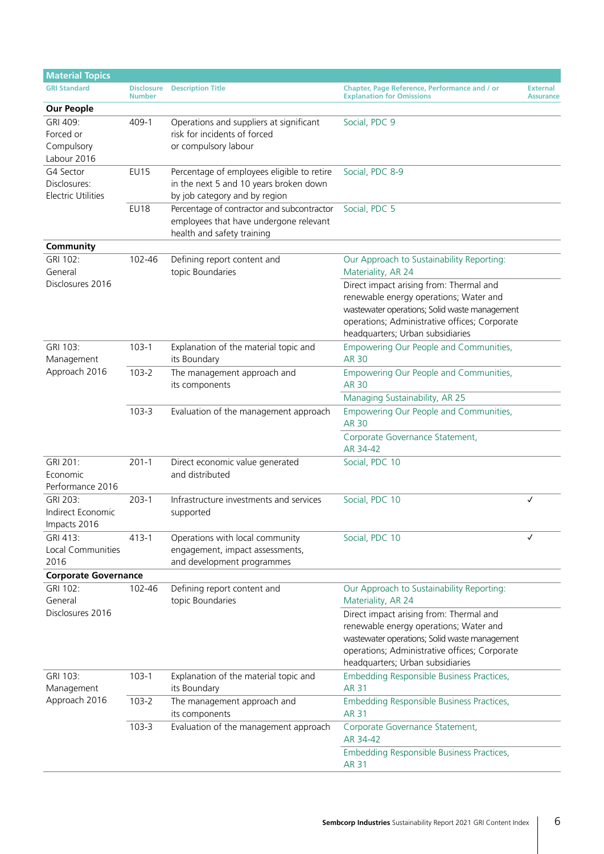| <b>Material Topics</b>                                 |                                    |                                                                                                                       |                                                                                                                                                                                                                         |                                     |  |  |
|--------------------------------------------------------|------------------------------------|-----------------------------------------------------------------------------------------------------------------------|-------------------------------------------------------------------------------------------------------------------------------------------------------------------------------------------------------------------------|-------------------------------------|--|--|
| <b>GRI Standard</b>                                    | <b>Disclosure</b><br><b>Number</b> | <b>Description Title</b>                                                                                              | Chapter, Page Reference, Performance and / or<br><b>Explanation for Omissions</b>                                                                                                                                       | <b>External</b><br><b>Assurance</b> |  |  |
| <b>Our People</b>                                      |                                    |                                                                                                                       |                                                                                                                                                                                                                         |                                     |  |  |
| GRI 409:<br>Forced or<br>Compulsory<br>Labour 2016     | 409-1                              | Operations and suppliers at significant<br>risk for incidents of forced<br>or compulsory labour                       | Social, PDC 9                                                                                                                                                                                                           |                                     |  |  |
| G4 Sector<br>Disclosures:<br><b>Electric Utilities</b> | <b>EU15</b>                        | Percentage of employees eligible to retire<br>in the next 5 and 10 years broken down<br>by job category and by region | Social, PDC 8-9                                                                                                                                                                                                         |                                     |  |  |
|                                                        | <b>EU18</b>                        | Percentage of contractor and subcontractor<br>employees that have undergone relevant<br>health and safety training    | Social, PDC 5                                                                                                                                                                                                           |                                     |  |  |
| Community                                              |                                    |                                                                                                                       |                                                                                                                                                                                                                         |                                     |  |  |
| GRI 102:<br>General                                    | 102-46                             | Defining report content and<br>topic Boundaries                                                                       | Our Approach to Sustainability Reporting:<br>Materiality, AR 24                                                                                                                                                         |                                     |  |  |
| Disclosures 2016                                       |                                    |                                                                                                                       | Direct impact arising from: Thermal and<br>renewable energy operations; Water and<br>wastewater operations; Solid waste management<br>operations; Administrative offices; Corporate<br>headquarters; Urban subsidiaries |                                     |  |  |
| GRI 103:<br>Management                                 | $103 - 1$                          | Explanation of the material topic and<br>its Boundary                                                                 | Empowering Our People and Communities,<br>AR 30                                                                                                                                                                         |                                     |  |  |
| Approach 2016                                          | $103 - 2$                          | The management approach and<br>its components                                                                         | Empowering Our People and Communities,<br><b>AR 30</b>                                                                                                                                                                  |                                     |  |  |
|                                                        |                                    |                                                                                                                       | Managing Sustainability, AR 25                                                                                                                                                                                          |                                     |  |  |
|                                                        | $103 - 3$                          | Evaluation of the management approach                                                                                 | Empowering Our People and Communities,<br><b>AR 30</b>                                                                                                                                                                  |                                     |  |  |
|                                                        |                                    |                                                                                                                       | Corporate Governance Statement,<br>AR 34-42                                                                                                                                                                             |                                     |  |  |
| GRI 201:<br>Economic<br>Performance 2016               | $201 - 1$                          | Direct economic value generated<br>and distributed                                                                    | Social, PDC 10                                                                                                                                                                                                          |                                     |  |  |
| GRI 203:<br>Indirect Economic<br>Impacts 2016          | $203-1$                            | Infrastructure investments and services<br>supported                                                                  | Social, PDC 10                                                                                                                                                                                                          | ✓                                   |  |  |
| GRI 413:<br><b>Local Communities</b><br>2016           | $413 - 1$                          | Operations with local community<br>engagement, impact assessments,<br>and development programmes                      | Social, PDC 10                                                                                                                                                                                                          | ✓                                   |  |  |
| <b>Corporate Governance</b>                            |                                    |                                                                                                                       |                                                                                                                                                                                                                         |                                     |  |  |
| GRI 102:<br>General                                    | 102-46                             | Defining report content and<br>topic Boundaries                                                                       | Our Approach to Sustainability Reporting:<br>Materiality, AR 24                                                                                                                                                         |                                     |  |  |
| Disclosures 2016                                       |                                    |                                                                                                                       | Direct impact arising from: Thermal and<br>renewable energy operations; Water and<br>wastewater operations; Solid waste management<br>operations; Administrative offices; Corporate<br>headquarters; Urban subsidiaries |                                     |  |  |
| GRI 103:<br>Management                                 | $103-1$                            | Explanation of the material topic and<br>its Boundary                                                                 | Embedding Responsible Business Practices,<br><b>AR 31</b>                                                                                                                                                               |                                     |  |  |
| Approach 2016                                          | $103 - 2$                          | The management approach and<br>its components                                                                         | Embedding Responsible Business Practices,<br><b>AR 31</b>                                                                                                                                                               |                                     |  |  |
|                                                        | $103 - 3$                          | Evaluation of the management approach                                                                                 | Corporate Governance Statement,<br>AR 34-42                                                                                                                                                                             |                                     |  |  |
|                                                        |                                    |                                                                                                                       | Embedding Responsible Business Practices,<br><b>AR 31</b>                                                                                                                                                               |                                     |  |  |